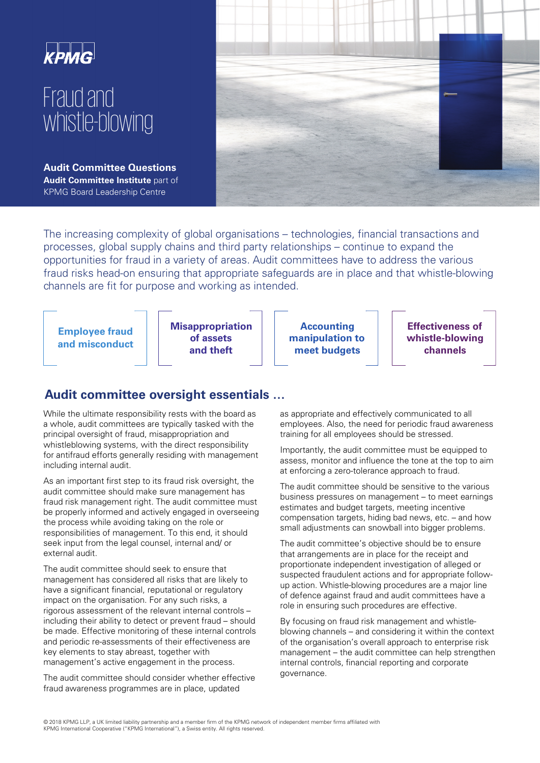

# Fraud and whistle-blowing

**Audit Committee Questions Audit Committee Institute** part of KPMG Board Leadership Centre



The increasing complexity of global organisations – technologies, financial transactions and processes, global supply chains and third party relationships – continue to expand the opportunities for fraud in a variety of areas. Audit committees have to address the various fraud risks head-on ensuring that appropriate safeguards are in place and that whistle-blowing channels are fit for purpose and working as intended.

**Employee fraud and misconduct**  **Misappropriation of assets and theft**

**Accounting manipulation to meet budgets** 

**Effectiveness of whistle-blowing channels** 

## **Audit committee oversight essentials …**

While the ultimate responsibility rests with the board as a whole, audit committees are typically tasked with the principal oversight of fraud, misappropriation and whistleblowing systems, with the direct responsibility for antifraud efforts generally residing with management including internal audit.

As an important first step to its fraud risk oversight, the audit committee should make sure management has fraud risk management right. The audit committee must be properly informed and actively engaged in overseeing the process while avoiding taking on the role or responsibilities of management. To this end, it should seek input from the legal counsel, internal and/ or external audit.

The audit committee should seek to ensure that management has considered all risks that are likely to have a significant financial, reputational or regulatory impact on the organisation. For any such risks, a rigorous assessment of the relevant internal controls – including their ability to detect or prevent fraud – should be made. Effective monitoring of these internal controls and periodic re-assessments of their effectiveness are key elements to stay abreast, together with management's active engagement in the process.

The audit committee should consider whether effective fraud awareness programmes are in place, updated

as appropriate and effectively communicated to all employees. Also, the need for periodic fraud awareness training for all employees should be stressed.

Importantly, the audit committee must be equipped to assess, monitor and influence the tone at the top to aim at enforcing a zero-tolerance approach to fraud.

The audit committee should be sensitive to the various business pressures on management – to meet earnings estimates and budget targets, meeting incentive compensation targets, hiding bad news, etc. – and how small adjustments can snowball into bigger problems.

The audit committee's objective should be to ensure that arrangements are in place for the receipt and proportionate independent investigation of alleged or suspected fraudulent actions and for appropriate followup action. Whistle-blowing procedures are a major line of defence against fraud and audit committees have a role in ensuring such procedures are effective.

By focusing on fraud risk management and whistleblowing channels – and considering it within the context of the organisation's overall approach to enterprise risk management – the audit committee can help strengthen internal controls, financial reporting and corporate governance.